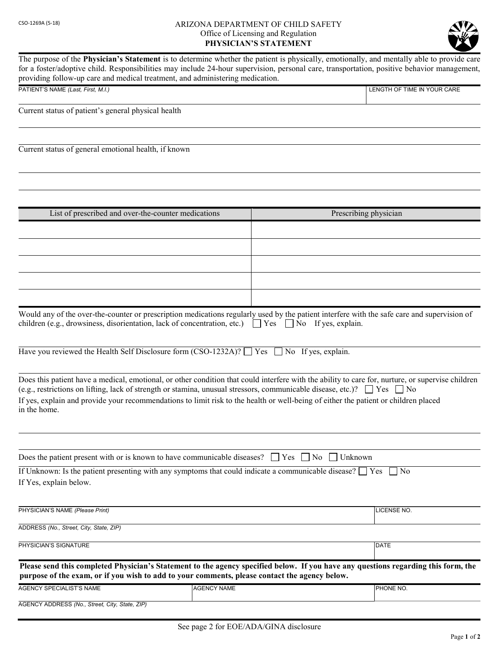## CSO-1269A (5-18) ARIZONA DEPARTMENT OF CHILD SAFETY Office of Licensing and Regulation PHYSICIAN'S STATEMENT



The purpose of the Physician's Statement is to determine whether the patient is physically, emotionally, and mentally able to provide care for a foster/adoptive child. Responsibilities may include 24-hour supervision, personal care, transportation, positive behavior management, providing follow-up care and medical treatment, and administering medication. PATIENT'S NAME (Last, First, M.I.) LENGTH OF TIME IN YOUR CARE Current status of patient's general physical health Current status of general emotional health, if known List of prescribed and over-the-counter medications Prescribing physician Would any of the over-the-counter or prescription medications regularly used by the patient interfere with the safe care and supervision of children (e.g., drowsiness, disorientation, lack of concentration, etc.)  $\Box$  Yes  $\Box$  No If yes, explain. Have you reviewed the Health Self Disclosure form (CSO-1232A)?  $\Box$  Yes  $\Box$  No If yes, explain. Does this patient have a medical, emotional, or other condition that could interfere with the ability to care for, nurture, or supervise children (e.g., restrictions on lifting, lack of strength or stamina, unusual stressors, communicable disease, etc.)?  $\Box$  Yes  $\Box$  No If yes, explain and provide your recommendations to limit risk to the health or well-being of either the patient or children placed in the home.

Does the patient present with or is known to have communicable diseases?  $\Box$  Yes  $\Box$  No  $\Box$  Unknown

| If Unknown: Is the patient presenting with any symptoms that could indicate a communicable disease? $\Box$ Yes $\Box$ No |  |
|--------------------------------------------------------------------------------------------------------------------------|--|
| If Yes, explain below.                                                                                                   |  |

| PHYSICIAN'S NAME (Please Print)                                                                                                                                                                                                     | LICENSE NO. |  |
|-------------------------------------------------------------------------------------------------------------------------------------------------------------------------------------------------------------------------------------|-------------|--|
| ADDRESS (No., Street, City, State, ZIP)                                                                                                                                                                                             |             |  |
| PHYSICIAN'S SIGNATURE                                                                                                                                                                                                               | DATE        |  |
| Please send this completed Physician's Statement to the agency specified below. If you have any questions regarding this form, the<br>purpose of the exam, or if you wish to add to your comments, please contact the agency below. |             |  |

| AGENCY SPECIALIST'S NAME                          | <b>IAGENCY NAME</b> | <b>IPHONE NO.</b> |
|---------------------------------------------------|---------------------|-------------------|
|                                                   |                     |                   |
| AGENCY ADDRESS (No., Street, City,<br>State, ZIP) |                     |                   |